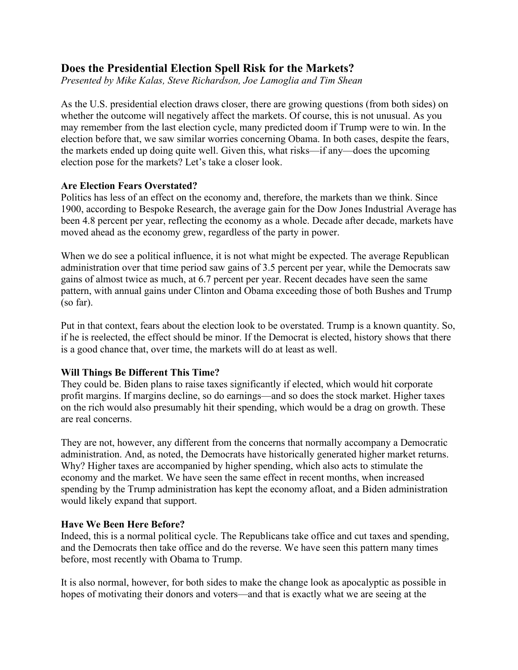# **Does the Presidential Election Spell Risk for the Markets?**

*Presented by Mike Kalas, Steve Richardson, Joe Lamoglia and Tim Shean*

As the U.S. presidential election draws closer, there are growing questions (from both sides) on whether the outcome will negatively affect the markets. Of course, this is not unusual. As you may remember from the last election cycle, many predicted doom if Trump were to win. In the election before that, we saw similar worries concerning Obama. In both cases, despite the fears, the markets ended up doing quite well. Given this, what risks—if any—does the upcoming election pose for the markets? Let's take a closer look.

#### **Are Election Fears Overstated?**

Politics has less of an effect on the economy and, therefore, the markets than we think. Since 1900, according to Bespoke Research, the average gain for the Dow Jones Industrial Average has been 4.8 percent per year, reflecting the economy as a whole. Decade after decade, markets have moved ahead as the economy grew, regardless of the party in power.

When we do see a political influence, it is not what might be expected. The average Republican administration over that time period saw gains of 3.5 percent per year, while the Democrats saw gains of almost twice as much, at 6.7 percent per year. Recent decades have seen the same pattern, with annual gains under Clinton and Obama exceeding those of both Bushes and Trump (so far).

Put in that context, fears about the election look to be overstated. Trump is a known quantity. So, if he is reelected, the effect should be minor. If the Democrat is elected, history shows that there is a good chance that, over time, the markets will do at least as well.

## **Will Things Be Different This Time?**

They could be. Biden plans to raise taxes significantly if elected, which would hit corporate profit margins. If margins decline, so do earnings—and so does the stock market. Higher taxes on the rich would also presumably hit their spending, which would be a drag on growth. These are real concerns.

They are not, however, any different from the concerns that normally accompany a Democratic administration. And, as noted, the Democrats have historically generated higher market returns. Why? Higher taxes are accompanied by higher spending, which also acts to stimulate the economy and the market. We have seen the same effect in recent months, when increased spending by the Trump administration has kept the economy afloat, and a Biden administration would likely expand that support.

## **Have We Been Here Before?**

Indeed, this is a normal political cycle. The Republicans take office and cut taxes and spending, and the Democrats then take office and do the reverse. We have seen this pattern many times before, most recently with Obama to Trump.

It is also normal, however, for both sides to make the change look as apocalyptic as possible in hopes of motivating their donors and voters—and that is exactly what we are seeing at the